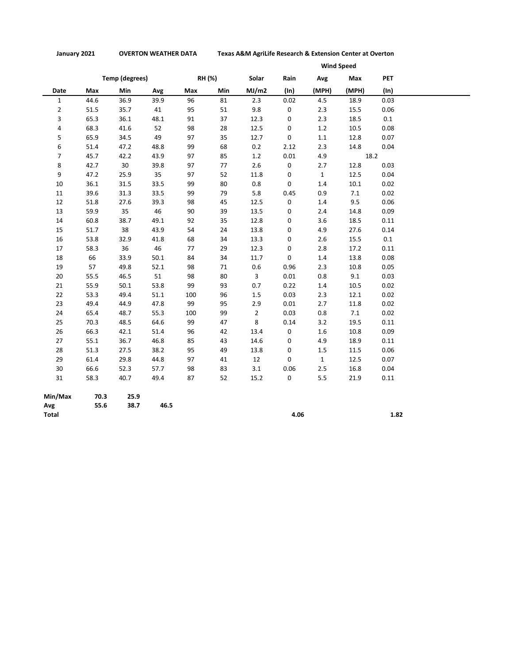**January 2021 OVERTON WEATHER DATA Texas A&M AgriLife Research & Extension Center at Overton**

|                |      |                       | <b>Wind Speed</b> |     |        |                |      |              |       |            |
|----------------|------|-----------------------|-------------------|-----|--------|----------------|------|--------------|-------|------------|
|                |      | <b>Temp (degrees)</b> |                   |     | RH (%) | Solar          | Rain | Avg          | Max   | <b>PET</b> |
| Date           | Max  | Min                   | Avg               | Max | Min    | MJ/m2          | (ln) | (MPH)        | (MPH) | (ln)       |
| $\mathbf 1$    | 44.6 | 36.9                  | 39.9              | 96  | 81     | 2.3            | 0.02 | 4.5          | 18.9  | 0.03       |
| $\overline{2}$ | 51.5 | 35.7                  | 41                | 95  | 51     | 9.8            | 0    | 2.3          | 15.5  | 0.06       |
| 3              | 65.3 | 36.1                  | 48.1              | 91  | 37     | 12.3           | 0    | 2.3          | 18.5  | 0.1        |
| 4              | 68.3 | 41.6                  | 52                | 98  | 28     | 12.5           | 0    | 1.2          | 10.5  | 0.08       |
| 5              | 65.9 | 34.5                  | 49                | 97  | 35     | 12.7           | 0    | $1.1\,$      | 12.8  | 0.07       |
| 6              | 51.4 | 47.2                  | 48.8              | 99  | 68     | 0.2            | 2.12 | 2.3          | 14.8  | 0.04       |
| $\overline{7}$ | 45.7 | 42.2                  | 43.9              | 97  | 85     | 1.2            | 0.01 | 4.9          | 18.2  |            |
| 8              | 42.7 | 30                    | 39.8              | 97  | 77     | 2.6            | 0    | 2.7          | 12.8  | 0.03       |
| 9              | 47.2 | 25.9                  | 35                | 97  | 52     | 11.8           | 0    | $\mathbf{1}$ | 12.5  | 0.04       |
| $10\,$         | 36.1 | 31.5                  | 33.5              | 99  | 80     | 0.8            | 0    | 1.4          | 10.1  | 0.02       |
| 11             | 39.6 | 31.3                  | 33.5              | 99  | 79     | 5.8            | 0.45 | 0.9          | 7.1   | 0.02       |
| 12             | 51.8 | 27.6                  | 39.3              | 98  | 45     | 12.5           | 0    | 1.4          | 9.5   | 0.06       |
| 13             | 59.9 | 35                    | 46                | 90  | 39     | 13.5           | 0    | 2.4          | 14.8  | 0.09       |
| 14             | 60.8 | 38.7                  | 49.1              | 92  | 35     | 12.8           | 0    | 3.6          | 18.5  | 0.11       |
| 15             | 51.7 | 38                    | 43.9              | 54  | 24     | 13.8           | 0    | 4.9          | 27.6  | 0.14       |
| 16             | 53.8 | 32.9                  | 41.8              | 68  | 34     | 13.3           | 0    | 2.6          | 15.5  | 0.1        |
| $17\,$         | 58.3 | 36                    | 46                | 77  | 29     | 12.3           | 0    | 2.8          | 17.2  | 0.11       |
| 18             | 66   | 33.9                  | 50.1              | 84  | 34     | 11.7           | 0    | $1.4\,$      | 13.8  | 0.08       |
| 19             | 57   | 49.8                  | 52.1              | 98  | 71     | 0.6            | 0.96 | 2.3          | 10.8  | 0.05       |
| 20             | 55.5 | 46.5                  | 51                | 98  | 80     | 3              | 0.01 | 0.8          | 9.1   | 0.03       |
| 21             | 55.9 | 50.1                  | 53.8              | 99  | 93     | 0.7            | 0.22 | 1.4          | 10.5  | 0.02       |
| 22             | 53.3 | 49.4                  | 51.1              | 100 | 96     | 1.5            | 0.03 | 2.3          | 12.1  | 0.02       |
| 23             | 49.4 | 44.9                  | 47.8              | 99  | 95     | 2.9            | 0.01 | 2.7          | 11.8  | 0.02       |
| 24             | 65.4 | 48.7                  | 55.3              | 100 | 99     | $\overline{2}$ | 0.03 | 0.8          | 7.1   | 0.02       |
| 25             | 70.3 | 48.5                  | 64.6              | 99  | 47     | 8              | 0.14 | 3.2          | 19.5  | 0.11       |
| 26             | 66.3 | 42.1                  | 51.4              | 96  | 42     | 13.4           | 0    | 1.6          | 10.8  | 0.09       |
| 27             | 55.1 | 36.7                  | 46.8              | 85  | 43     | 14.6           | 0    | 4.9          | 18.9  | 0.11       |
| 28             | 51.3 | 27.5                  | 38.2              | 95  | 49     | 13.8           | 0    | 1.5          | 11.5  | 0.06       |
| 29             | 61.4 | 29.8                  | 44.8              | 97  | 41     | 12             | 0    | $\mathbf{1}$ | 12.5  | 0.07       |
| 30             | 66.6 | 52.3                  | 57.7              | 98  | 83     | 3.1            | 0.06 | 2.5          | 16.8  | 0.04       |
| 31             | 58.3 | 40.7                  | 49.4              | 87  | 52     | 15.2           | 0    | 5.5          | 21.9  | 0.11       |
| Min/Max        | 70.3 | 25.9                  |                   |     |        |                |      |              |       |            |
| Avg            | 55.6 | 38.7                  | 46.5              |     |        |                |      |              |       |            |
| Total          |      |                       |                   |     |        |                | 4.06 |              |       | 1.82       |

**Total 4.06 1.82**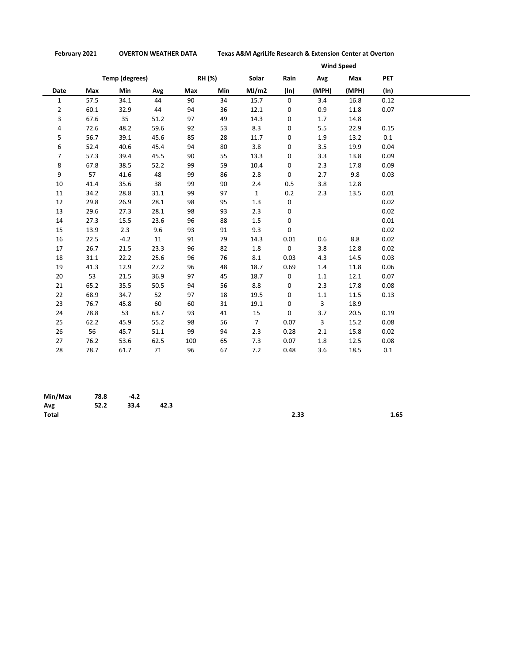**February 2021 OVERTON WEATHER DATA Texas A&M AgriLife Research & Extension Center at Overton**

|                |      |                |      |     |        | <b>Wind Speed</b> |      |         |       |            |  |  |
|----------------|------|----------------|------|-----|--------|-------------------|------|---------|-------|------------|--|--|
|                |      | Temp (degrees) |      |     | RH (%) | Solar             | Rain | Avg     | Max   | <b>PET</b> |  |  |
| Date           | Max  | Min            | Avg  | Max | Min    | MJ/m2             | (ln) | (MPH)   | (MPH) | (ln)       |  |  |
| $\mathbf{1}$   | 57.5 | 34.1           | 44   | 90  | 34     | 15.7              | 0    | 3.4     | 16.8  | 0.12       |  |  |
| $\overline{2}$ | 60.1 | 32.9           | 44   | 94  | 36     | 12.1              | 0    | 0.9     | 11.8  | 0.07       |  |  |
| 3              | 67.6 | 35             | 51.2 | 97  | 49     | 14.3              | 0    | 1.7     | 14.8  |            |  |  |
| 4              | 72.6 | 48.2           | 59.6 | 92  | 53     | 8.3               | 0    | 5.5     | 22.9  | 0.15       |  |  |
| 5              | 56.7 | 39.1           | 45.6 | 85  | 28     | 11.7              | 0    | 1.9     | 13.2  | 0.1        |  |  |
| 6              | 52.4 | 40.6           | 45.4 | 94  | 80     | 3.8               | 0    | 3.5     | 19.9  | 0.04       |  |  |
| 7              | 57.3 | 39.4           | 45.5 | 90  | 55     | 13.3              | 0    | 3.3     | 13.8  | 0.09       |  |  |
| 8              | 67.8 | 38.5           | 52.2 | 99  | 59     | 10.4              | 0    | 2.3     | 17.8  | 0.09       |  |  |
| 9              | 57   | 41.6           | 48   | 99  | 86     | 2.8               | 0    | 2.7     | 9.8   | 0.03       |  |  |
| 10             | 41.4 | 35.6           | 38   | 99  | 90     | 2.4               | 0.5  | 3.8     | 12.8  |            |  |  |
| 11             | 34.2 | 28.8           | 31.1 | 99  | 97     | $\mathbf{1}$      | 0.2  | 2.3     | 13.5  | 0.01       |  |  |
| 12             | 29.8 | 26.9           | 28.1 | 98  | 95     | 1.3               | 0    |         |       | 0.02       |  |  |
| 13             | 29.6 | 27.3           | 28.1 | 98  | 93     | 2.3               | 0    |         |       | 0.02       |  |  |
| 14             | 27.3 | 15.5           | 23.6 | 96  | 88     | 1.5               | 0    |         |       | 0.01       |  |  |
| 15             | 13.9 | 2.3            | 9.6  | 93  | 91     | 9.3               | 0    |         |       | 0.02       |  |  |
| 16             | 22.5 | $-4.2$         | 11   | 91  | 79     | 14.3              | 0.01 | 0.6     | 8.8   | 0.02       |  |  |
| 17             | 26.7 | 21.5           | 23.3 | 96  | 82     | 1.8               | 0    | 3.8     | 12.8  | 0.02       |  |  |
| 18             | 31.1 | 22.2           | 25.6 | 96  | 76     | 8.1               | 0.03 | 4.3     | 14.5  | 0.03       |  |  |
| 19             | 41.3 | 12.9           | 27.2 | 96  | 48     | 18.7              | 0.69 | 1.4     | 11.8  | 0.06       |  |  |
| 20             | 53   | 21.5           | 36.9 | 97  | 45     | 18.7              | 0    | $1.1\,$ | 12.1  | 0.07       |  |  |
| 21             | 65.2 | 35.5           | 50.5 | 94  | 56     | 8.8               | 0    | 2.3     | 17.8  | 0.08       |  |  |
| 22             | 68.9 | 34.7           | 52   | 97  | 18     | 19.5              | 0    | 1.1     | 11.5  | 0.13       |  |  |
| 23             | 76.7 | 45.8           | 60   | 60  | 31     | 19.1              | 0    | 3       | 18.9  |            |  |  |
| 24             | 78.8 | 53             | 63.7 | 93  | 41     | 15                | 0    | 3.7     | 20.5  | 0.19       |  |  |
| 25             | 62.2 | 45.9           | 55.2 | 98  | 56     | $\overline{7}$    | 0.07 | 3       | 15.2  | 0.08       |  |  |
| 26             | 56   | 45.7           | 51.1 | 99  | 94     | 2.3               | 0.28 | 2.1     | 15.8  | 0.02       |  |  |
| 27             | 76.2 | 53.6           | 62.5 | 100 | 65     | 7.3               | 0.07 | 1.8     | 12.5  | 0.08       |  |  |
| 28             | 78.7 | 61.7           | 71   | 96  | 67     | 7.2               | 0.48 | 3.6     | 18.5  | 0.1        |  |  |

| Min/Max      | 78.8 | $-4.2$ |      |      |      |
|--------------|------|--------|------|------|------|
| Avg          | 52.2 | 33.4   | 42.3 |      |      |
| <b>Total</b> |      |        |      | 2.33 | 1.65 |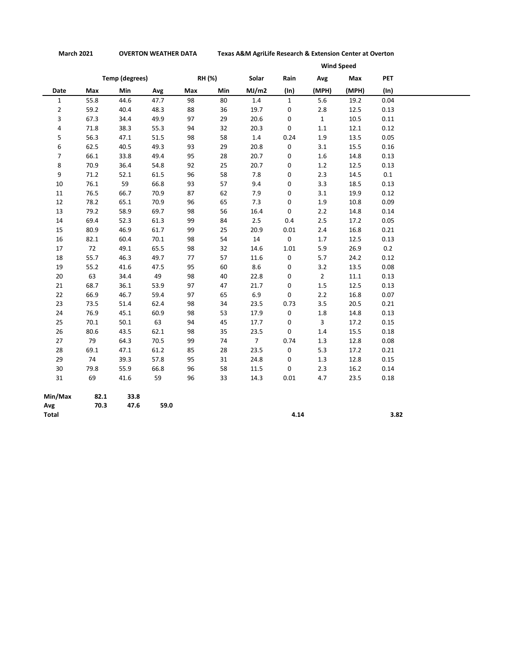**March 2021 OVERTON WEATHER DATA Texas A&M AgriLife Research & Extension Center at Overton**

|                |      |                       |      |     |        | <b>Wind Speed</b> |              |                |       |            |  |  |
|----------------|------|-----------------------|------|-----|--------|-------------------|--------------|----------------|-------|------------|--|--|
|                |      | <b>Temp (degrees)</b> |      |     | RH (%) | Solar             | Rain         | Avg            | Max   | <b>PET</b> |  |  |
| Date           | Max  | Min                   | Avg  | Max | Min    | MJ/m2             | $(\ln)$      | (MPH)          | (MPH) | $(\ln)$    |  |  |
| $\mathbf{1}$   | 55.8 | 44.6                  | 47.7 | 98  | 80     | 1.4               | $\mathbf{1}$ | 5.6            | 19.2  | 0.04       |  |  |
| $\overline{2}$ | 59.2 | 40.4                  | 48.3 | 88  | 36     | 19.7              | 0            | 2.8            | 12.5  | 0.13       |  |  |
| 3              | 67.3 | 34.4                  | 49.9 | 97  | 29     | 20.6              | 0            | $\mathbf{1}$   | 10.5  | 0.11       |  |  |
| 4              | 71.8 | 38.3                  | 55.3 | 94  | 32     | 20.3              | 0            | $1.1\,$        | 12.1  | 0.12       |  |  |
| 5              | 56.3 | 47.1                  | 51.5 | 98  | 58     | 1.4               | 0.24         | 1.9            | 13.5  | 0.05       |  |  |
| 6              | 62.5 | 40.5                  | 49.3 | 93  | 29     | 20.8              | 0            | 3.1            | 15.5  | 0.16       |  |  |
| $\overline{7}$ | 66.1 | 33.8                  | 49.4 | 95  | 28     | 20.7              | 0            | 1.6            | 14.8  | 0.13       |  |  |
| 8              | 70.9 | 36.4                  | 54.8 | 92  | 25     | 20.7              | 0            | 1.2            | 12.5  | 0.13       |  |  |
| 9              | 71.2 | 52.1                  | 61.5 | 96  | 58     | 7.8               | 0            | 2.3            | 14.5  | 0.1        |  |  |
| 10             | 76.1 | 59                    | 66.8 | 93  | 57     | 9.4               | 0            | 3.3            | 18.5  | 0.13       |  |  |
| 11             | 76.5 | 66.7                  | 70.9 | 87  | 62     | 7.9               | 0            | 3.1            | 19.9  | 0.12       |  |  |
| 12             | 78.2 | 65.1                  | 70.9 | 96  | 65     | 7.3               | 0            | 1.9            | 10.8  | 0.09       |  |  |
| 13             | 79.2 | 58.9                  | 69.7 | 98  | 56     | 16.4              | 0            | 2.2            | 14.8  | 0.14       |  |  |
| 14             | 69.4 | 52.3                  | 61.3 | 99  | 84     | 2.5               | 0.4          | 2.5            | 17.2  | 0.05       |  |  |
| 15             | 80.9 | 46.9                  | 61.7 | 99  | 25     | 20.9              | 0.01         | 2.4            | 16.8  | 0.21       |  |  |
| 16             | 82.1 | 60.4                  | 70.1 | 98  | 54     | $14\,$            | 0            | 1.7            | 12.5  | 0.13       |  |  |
| 17             | 72   | 49.1                  | 65.5 | 98  | 32     | 14.6              | 1.01         | 5.9            | 26.9  | 0.2        |  |  |
| 18             | 55.7 | 46.3                  | 49.7 | 77  | 57     | 11.6              | 0            | 5.7            | 24.2  | 0.12       |  |  |
| 19             | 55.2 | 41.6                  | 47.5 | 95  | 60     | 8.6               | 0            | 3.2            | 13.5  | 0.08       |  |  |
| 20             | 63   | 34.4                  | 49   | 98  | 40     | 22.8              | 0            | $\overline{2}$ | 11.1  | 0.13       |  |  |
| 21             | 68.7 | 36.1                  | 53.9 | 97  | 47     | 21.7              | 0            | $1.5\,$        | 12.5  | 0.13       |  |  |
| 22             | 66.9 | 46.7                  | 59.4 | 97  | 65     | $6.9\,$           | 0            | 2.2            | 16.8  | 0.07       |  |  |
| 23             | 73.5 | 51.4                  | 62.4 | 98  | 34     | 23.5              | 0.73         | 3.5            | 20.5  | 0.21       |  |  |
| 24             | 76.9 | 45.1                  | 60.9 | 98  | 53     | 17.9              | 0            | $1.8\,$        | 14.8  | 0.13       |  |  |
| 25             | 70.1 | 50.1                  | 63   | 94  | 45     | 17.7              | 0            | 3              | 17.2  | 0.15       |  |  |
| 26             | 80.6 | 43.5                  | 62.1 | 98  | 35     | 23.5              | 0            | 1.4            | 15.5  | 0.18       |  |  |
| 27             | 79   | 64.3                  | 70.5 | 99  | 74     | $\overline{7}$    | 0.74         | 1.3            | 12.8  | 0.08       |  |  |
| 28             | 69.1 | 47.1                  | 61.2 | 85  | 28     | 23.5              | 0            | 5.3            | 17.2  | 0.21       |  |  |
| 29             | 74   | 39.3                  | 57.8 | 95  | 31     | 24.8              | 0            | 1.3            | 12.8  | 0.15       |  |  |
| $30\,$         | 79.8 | 55.9                  | 66.8 | 96  | 58     | 11.5              | 0            | 2.3            | 16.2  | 0.14       |  |  |
| 31             | 69   | 41.6                  | 59   | 96  | 33     | 14.3              | 0.01         | 4.7            | 23.5  | 0.18       |  |  |
| Min/Max        | 82.1 | 33.8                  |      |     |        |                   |              |                |       |            |  |  |
| Avg            | 70.3 | 47.6                  | 59.0 |     |        |                   |              |                |       |            |  |  |

**Total 4.14 3.82**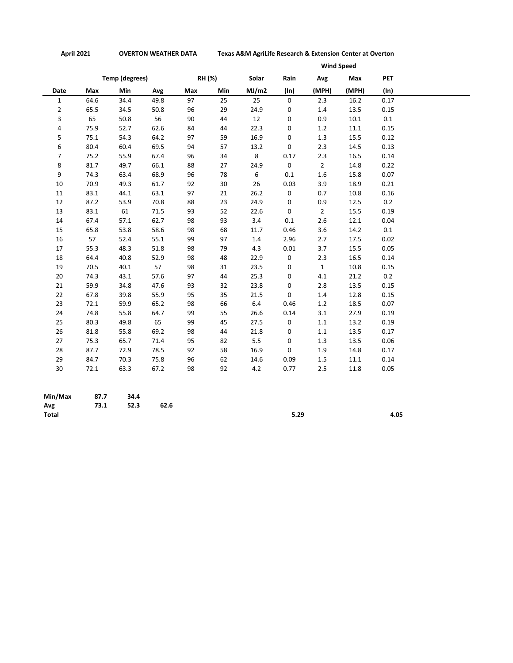**April 2021 OVERTON WEATHER DATA Texas A&M AgriLife Research & Extension Center at Overton**

|                |      |                |      |     |        | <b>Wind Speed</b> |      |                |          |            |  |
|----------------|------|----------------|------|-----|--------|-------------------|------|----------------|----------|------------|--|
|                |      | Temp (degrees) |      |     | RH (%) | Solar             | Rain | Avg            | Max      | <b>PET</b> |  |
| Date           | Max  | Min            | Avg  | Max | Min    | MJ/m2             | (ln) | (MPH)          | (MPH)    | (ln)       |  |
| $\mathbf{1}$   | 64.6 | 34.4           | 49.8 | 97  | 25     | 25                | 0    | 2.3            | 16.2     | 0.17       |  |
| $\overline{2}$ | 65.5 | 34.5           | 50.8 | 96  | 29     | 24.9              | 0    | 1.4            | 13.5     | 0.15       |  |
| 3              | 65   | 50.8           | 56   | 90  | 44     | 12                | 0    | 0.9            | 10.1     | $0.1\,$    |  |
| 4              | 75.9 | 52.7           | 62.6 | 84  | 44     | 22.3              | 0    | 1.2            | $11.1\,$ | 0.15       |  |
| 5              | 75.1 | 54.3           | 64.2 | 97  | 59     | 16.9              | 0    | 1.3            | 15.5     | 0.12       |  |
| 6              | 80.4 | 60.4           | 69.5 | 94  | 57     | 13.2              | 0    | 2.3            | 14.5     | 0.13       |  |
| $\overline{7}$ | 75.2 | 55.9           | 67.4 | 96  | 34     | 8                 | 0.17 | 2.3            | 16.5     | 0.14       |  |
| 8              | 81.7 | 49.7           | 66.1 | 88  | 27     | 24.9              | 0    | $\overline{2}$ | 14.8     | 0.22       |  |
| 9              | 74.3 | 63.4           | 68.9 | 96  | 78     | 6                 | 0.1  | $1.6\,$        | 15.8     | 0.07       |  |
| 10             | 70.9 | 49.3           | 61.7 | 92  | 30     | 26                | 0.03 | 3.9            | 18.9     | 0.21       |  |
| 11             | 83.1 | 44.1           | 63.1 | 97  | 21     | 26.2              | 0    | 0.7            | 10.8     | 0.16       |  |
| 12             | 87.2 | 53.9           | 70.8 | 88  | 23     | 24.9              | 0    | 0.9            | 12.5     | 0.2        |  |
| 13             | 83.1 | 61             | 71.5 | 93  | 52     | 22.6              | 0    | $\overline{2}$ | 15.5     | 0.19       |  |
| 14             | 67.4 | 57.1           | 62.7 | 98  | 93     | 3.4               | 0.1  | 2.6            | 12.1     | 0.04       |  |
| 15             | 65.8 | 53.8           | 58.6 | 98  | 68     | 11.7              | 0.46 | 3.6            | 14.2     | $0.1\,$    |  |
| 16             | 57   | 52.4           | 55.1 | 99  | 97     | 1.4               | 2.96 | 2.7            | 17.5     | 0.02       |  |
| 17             | 55.3 | 48.3           | 51.8 | 98  | 79     | 4.3               | 0.01 | 3.7            | 15.5     | 0.05       |  |
| 18             | 64.4 | 40.8           | 52.9 | 98  | 48     | 22.9              | 0    | 2.3            | 16.5     | 0.14       |  |
| 19             | 70.5 | 40.1           | 57   | 98  | 31     | 23.5              | 0    | $\mathbf{1}$   | 10.8     | 0.15       |  |
| 20             | 74.3 | 43.1           | 57.6 | 97  | 44     | 25.3              | 0    | 4.1            | 21.2     | 0.2        |  |
| 21             | 59.9 | 34.8           | 47.6 | 93  | 32     | 23.8              | 0    | 2.8            | 13.5     | 0.15       |  |
| 22             | 67.8 | 39.8           | 55.9 | 95  | 35     | 21.5              | 0    | 1.4            | 12.8     | 0.15       |  |
| 23             | 72.1 | 59.9           | 65.2 | 98  | 66     | 6.4               | 0.46 | 1.2            | 18.5     | 0.07       |  |
| 24             | 74.8 | 55.8           | 64.7 | 99  | 55     | 26.6              | 0.14 | 3.1            | 27.9     | 0.19       |  |
| 25             | 80.3 | 49.8           | 65   | 99  | 45     | 27.5              | 0    | 1.1            | 13.2     | 0.19       |  |
| 26             | 81.8 | 55.8           | 69.2 | 98  | 44     | 21.8              | 0    | 1.1            | 13.5     | 0.17       |  |
| 27             | 75.3 | 65.7           | 71.4 | 95  | 82     | 5.5               | 0    | 1.3            | 13.5     | 0.06       |  |
| 28             | 87.7 | 72.9           | 78.5 | 92  | 58     | 16.9              | 0    | 1.9            | 14.8     | 0.17       |  |
| 29             | 84.7 | 70.3           | 75.8 | 96  | 62     | 14.6              | 0.09 | 1.5            | 11.1     | 0.14       |  |
| 30             | 72.1 | 63.3           | 67.2 | 98  | 92     | 4.2               | 0.77 | 2.5            | 11.8     | 0.05       |  |

| $Min/Max$ 87.7 | 34.4 |      |      |      |
|----------------|------|------|------|------|
| Avg 73.1 52.3  |      | 62.6 |      |      |
| <b>Total</b>   |      |      | 5.29 | 4.05 |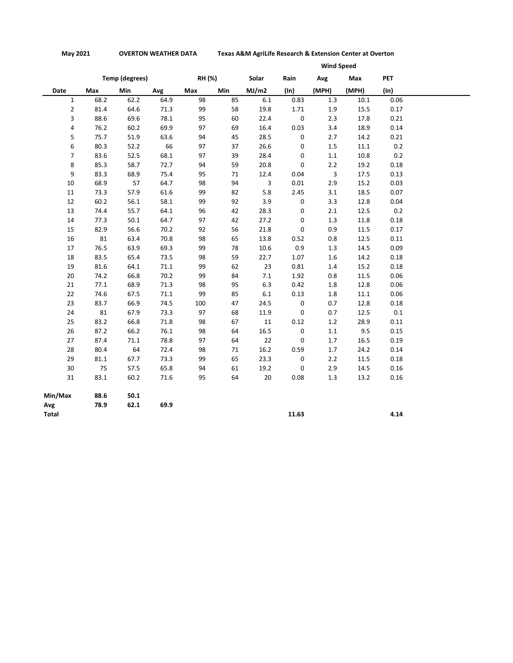**May 2021 OVERTON WEATHER DATA Texas A&M AgriLife Research & Extension Center at Overton**

|                |      |                       |      |        | <b>Wind Speed</b> |         |             |         |          |            |  |
|----------------|------|-----------------------|------|--------|-------------------|---------|-------------|---------|----------|------------|--|
|                |      | <b>Temp (degrees)</b> |      | RH (%) |                   | Solar   | Rain        | Avg     | Max      | <b>PET</b> |  |
| Date           | Max  | Min                   | Avg  | Max    | Min               | MJ/m2   | $(\ln)$     | (MPH)   | (MPH)    | $(\ln)$    |  |
| $\mathbf{1}$   | 68.2 | 62.2                  | 64.9 | 98     | 85                | $6.1\,$ | 0.83        | 1.3     | $10.1\,$ | 0.06       |  |
| $\overline{2}$ | 81.4 | 64.6                  | 71.3 | 99     | 58                | 19.8    | 1.71        | 1.9     | 15.5     | 0.17       |  |
| 3              | 88.6 | 69.6                  | 78.1 | 95     | 60                | 22.4    | $\pmb{0}$   | 2.3     | 17.8     | 0.21       |  |
| 4              | 76.2 | 60.2                  | 69.9 | 97     | 69                | 16.4    | 0.03        | 3.4     | 18.9     | 0.14       |  |
| 5              | 75.7 | 51.9                  | 63.6 | 94     | 45                | 28.5    | $\pmb{0}$   | 2.7     | 14.2     | 0.21       |  |
| 6              | 80.3 | 52.2                  | 66   | 97     | 37                | 26.6    | 0           | 1.5     | 11.1     | 0.2        |  |
| $\overline{7}$ | 83.6 | 52.5                  | 68.1 | 97     | 39                | 28.4    | 0           | 1.1     | 10.8     | 0.2        |  |
| 8              | 85.3 | 58.7                  | 72.7 | 94     | 59                | 20.8    | 0           | 2.2     | 19.2     | 0.18       |  |
| 9              | 83.3 | 68.9                  | 75.4 | 95     | 71                | 12.4    | 0.04        | 3       | 17.5     | 0.13       |  |
| 10             | 68.9 | 57                    | 64.7 | 98     | 94                | 3       | 0.01        | 2.9     | 15.2     | 0.03       |  |
| 11             | 73.3 | 57.9                  | 61.6 | 99     | 82                | 5.8     | 2.45        | 3.1     | 18.5     | 0.07       |  |
| 12             | 60.2 | 56.1                  | 58.1 | 99     | 92                | 3.9     | 0           | 3.3     | 12.8     | 0.04       |  |
| 13             | 74.4 | 55.7                  | 64.1 | 96     | 42                | 28.3    | 0           | 2.1     | 12.5     | 0.2        |  |
| 14             | 77.3 | 50.1                  | 64.7 | 97     | 42                | 27.2    | $\mathbf 0$ | 1.3     | 11.8     | 0.18       |  |
| 15             | 82.9 | 56.6                  | 70.2 | 92     | 56                | 21.8    | $\mathbf 0$ | 0.9     | 11.5     | 0.17       |  |
| 16             | 81   | 63.4                  | 70.8 | 98     | 65                | 13.8    | 0.52        | 0.8     | 12.5     | 0.11       |  |
| 17             | 76.5 | 63.9                  | 69.3 | 99     | 78                | 10.6    | 0.9         | 1.3     | 14.5     | 0.09       |  |
| 18             | 83.5 | 65.4                  | 73.5 | 98     | 59                | 22.7    | 1.07        | $1.6\,$ | 14.2     | 0.18       |  |
| 19             | 81.6 | 64.1                  | 71.1 | 99     | 62                | 23      | 0.81        | 1.4     | 15.2     | 0.18       |  |
| 20             | 74.2 | 66.8                  | 70.2 | 99     | 84                | 7.1     | 1.92        | 0.8     | 11.5     | 0.06       |  |
| 21             | 77.1 | 68.9                  | 71.3 | 98     | 95                | 6.3     | 0.42        | 1.8     | 12.8     | 0.06       |  |
| 22             | 74.6 | 67.5                  | 71.1 | 99     | 85                | $6.1\,$ | 0.13        | 1.8     | 11.1     | 0.06       |  |
| 23             | 83.7 | 66.9                  | 74.5 | 100    | 47                | 24.5    | 0           | 0.7     | 12.8     | 0.18       |  |
| 24             | 81   | 67.9                  | 73.3 | 97     | 68                | 11.9    | $\mathsf 0$ | 0.7     | 12.5     | $0.1\,$    |  |
| 25             | 83.2 | 66.8                  | 71.8 | 98     | 67                | $11\,$  | 0.12        | 1.2     | 28.9     | 0.11       |  |
| 26             | 87.2 | 66.2                  | 76.1 | 98     | 64                | 16.5    | 0           | 1.1     | 9.5      | 0.15       |  |
| 27             | 87.4 | 71.1                  | 78.8 | 97     | 64                | 22      | 0           | 1.7     | 16.5     | 0.19       |  |
| 28             | 80.4 | 64                    | 72.4 | 98     | 71                | 16.2    | 0.59        | 1.7     | 24.2     | 0.14       |  |
| 29             | 81.1 | 67.7                  | 73.3 | 99     | 65                | 23.3    | $\pmb{0}$   | 2.2     | 11.5     | 0.18       |  |
| 30             | 75   | 57.5                  | 65.8 | 94     | 61                | 19.2    | 0           | 2.9     | 14.5     | 0.16       |  |
| 31             | 83.1 | 60.2                  | 71.6 | 95     | 64                | 20      | 0.08        | 1.3     | 13.2     | 0.16       |  |
| Min/Max        | 88.6 | 50.1                  |      |        |                   |         |             |         |          |            |  |
| Avg            | 78.9 | 62.1                  | 69.9 |        |                   |         |             |         |          |            |  |
| Total          |      |                       |      |        |                   |         | 11.63       |         |          | 4.14       |  |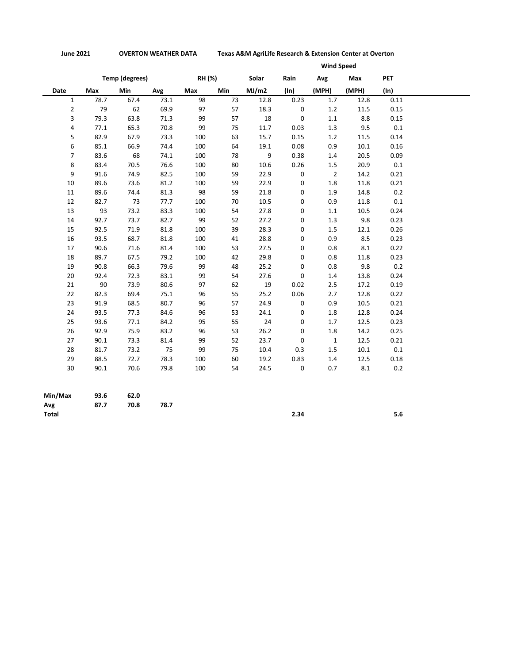**June 2021 OVERTON WEATHER DATA Texas A&M AgriLife Research & Extension Center at Overton**

| Date<br>$\mathbf{1}$<br>$\overline{2}$<br>3 | Max<br>78.7<br>79<br>79.3 | <b>Temp (degrees)</b><br><b>Min</b><br>67.4 | Avg  | RH (%)<br>Max |     | Solar | Rain        | Avg            | Max   | <b>PET</b> |
|---------------------------------------------|---------------------------|---------------------------------------------|------|---------------|-----|-------|-------------|----------------|-------|------------|
|                                             |                           |                                             |      |               |     |       |             |                |       |            |
|                                             |                           |                                             |      |               | Min | MJ/m2 | $(\ln)$     | (MPH)          | (MPH) | (ln)       |
|                                             |                           |                                             | 73.1 | 98            | 73  | 12.8  | 0.23        | 1.7            | 12.8  | 0.11       |
|                                             |                           | 62                                          | 69.9 | 97            | 57  | 18.3  | 0           | 1.2            | 11.5  | 0.15       |
|                                             |                           | 63.8                                        | 71.3 | 99            | 57  | 18    | 0           | $1.1\,$        | 8.8   | 0.15       |
| 4                                           | 77.1                      | 65.3                                        | 70.8 | 99            | 75  | 11.7  | 0.03        | 1.3            | 9.5   | 0.1        |
| 5                                           | 82.9                      | 67.9                                        | 73.3 | 100           | 63  | 15.7  | 0.15        | 1.2            | 11.5  | 0.14       |
| 6                                           | 85.1                      | 66.9                                        | 74.4 | 100           | 64  | 19.1  | 0.08        | 0.9            | 10.1  | 0.16       |
| $\overline{7}$                              | 83.6                      | 68                                          | 74.1 | 100           | 78  | 9     | 0.38        | 1.4            | 20.5  | 0.09       |
| 8                                           | 83.4                      | 70.5                                        | 76.6 | 100           | 80  | 10.6  | 0.26        | 1.5            | 20.9  | 0.1        |
| 9                                           | 91.6                      | 74.9                                        | 82.5 | 100           | 59  | 22.9  | $\mathsf 0$ | $\overline{2}$ | 14.2  | 0.21       |
| $10\,$                                      | 89.6                      | 73.6                                        | 81.2 | 100           | 59  | 22.9  | $\mathsf 0$ | $1.8\,$        | 11.8  | 0.21       |
| 11                                          | 89.6                      | 74.4                                        | 81.3 | 98            | 59  | 21.8  | 0           | 1.9            | 14.8  | 0.2        |
| 12                                          | 82.7                      | 73                                          | 77.7 | 100           | 70  | 10.5  | 0           | 0.9            | 11.8  | 0.1        |
| 13                                          | 93                        | 73.2                                        | 83.3 | 100           | 54  | 27.8  | 0           | 1.1            | 10.5  | 0.24       |
| 14                                          | 92.7                      | 73.7                                        | 82.7 | 99            | 52  | 27.2  | 0           | 1.3            | 9.8   | 0.23       |
| 15                                          | 92.5                      | 71.9                                        | 81.8 | 100           | 39  | 28.3  | 0           | 1.5            | 12.1  | 0.26       |
| 16                                          | 93.5                      | 68.7                                        | 81.8 | 100           | 41  | 28.8  | 0           | 0.9            | 8.5   | 0.23       |
| 17                                          | 90.6                      | 71.6                                        | 81.4 | 100           | 53  | 27.5  | 0           | 0.8            | 8.1   | 0.22       |
| 18                                          | 89.7                      | 67.5                                        | 79.2 | 100           | 42  | 29.8  | 0           | 0.8            | 11.8  | 0.23       |
| 19                                          | 90.8                      | 66.3                                        | 79.6 | 99            | 48  | 25.2  | 0           | 0.8            | 9.8   | 0.2        |
| 20                                          | 92.4                      | 72.3                                        | 83.1 | 99            | 54  | 27.6  | 0           | 1.4            | 13.8  | 0.24       |
| 21                                          | 90                        | 73.9                                        | 80.6 | 97            | 62  | 19    | 0.02        | 2.5            | 17.2  | 0.19       |
| 22                                          | 82.3                      | 69.4                                        | 75.1 | 96            | 55  | 25.2  | 0.06        | 2.7            | 12.8  | 0.22       |
| 23                                          | 91.9                      | 68.5                                        | 80.7 | 96            | 57  | 24.9  | $\mathbf 0$ | 0.9            | 10.5  | 0.21       |
| 24                                          | 93.5                      | 77.3                                        | 84.6 | 96            | 53  | 24.1  | 0           | 1.8            | 12.8  | 0.24       |
| 25                                          | 93.6                      | 77.1                                        | 84.2 | 95            | 55  | 24    | 0           | 1.7            | 12.5  | 0.23       |
| 26                                          | 92.9                      | 75.9                                        | 83.2 | 96            | 53  | 26.2  | 0           | 1.8            | 14.2  | 0.25       |
| 27                                          | 90.1                      | 73.3                                        | 81.4 | 99            | 52  | 23.7  | 0           | $\mathbf{1}$   | 12.5  | 0.21       |
| 28                                          | 81.7                      | 73.2                                        | 75   | 99            | 75  | 10.4  | 0.3         | 1.5            | 10.1  | 0.1        |
| 29                                          | 88.5                      | 72.7                                        | 78.3 | 100           | 60  | 19.2  | 0.83        | 1.4            | 12.5  | 0.18       |
| 30                                          | 90.1                      | 70.6                                        | 79.8 | 100           | 54  | 24.5  | $\mathsf 0$ | 0.7            | 8.1   | 0.2        |
| Min/Max                                     | 93.6                      | 62.0                                        |      |               |     |       |             |                |       |            |

**Avg 87.7 70.8 78.7**

**Total 2.34 5.6**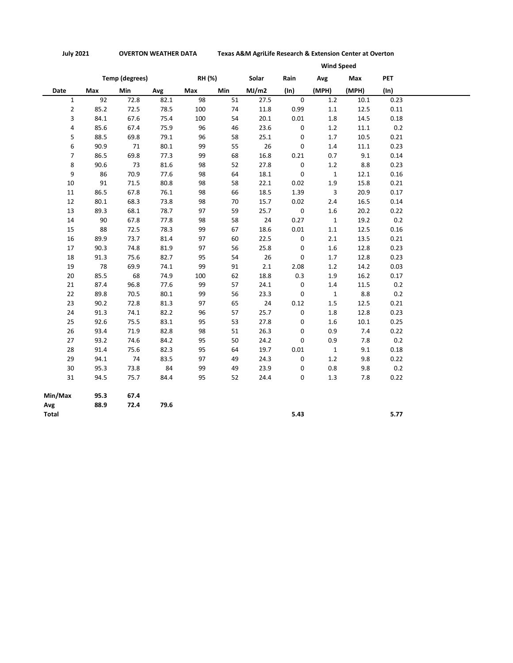|                | <b>Wind Speed</b> |                       |      |        |            |       |             |              |          |            |
|----------------|-------------------|-----------------------|------|--------|------------|-------|-------------|--------------|----------|------------|
|                |                   | <b>Temp (degrees)</b> |      | RH (%) |            | Solar | Rain        | Avg          | Max      | <b>PET</b> |
| Date           | Max               | Min                   | Avg  | Max    | <b>Min</b> | MJ/m2 | $(\ln)$     | (MPH)        | (MPH)    | (ln)       |
| $\mathbf{1}$   | 92                | 72.8                  | 82.1 | 98     | 51         | 27.5  | $\mathbf 0$ | 1.2          | 10.1     | 0.23       |
| $\overline{2}$ | 85.2              | 72.5                  | 78.5 | 100    | 74         | 11.8  | 0.99        | 1.1          | 12.5     | 0.11       |
| 3              | 84.1              | 67.6                  | 75.4 | 100    | 54         | 20.1  | 0.01        | 1.8          | 14.5     | 0.18       |
| 4              | 85.6              | 67.4                  | 75.9 | 96     | 46         | 23.6  | $\pmb{0}$   | 1.2          | 11.1     | 0.2        |
| 5              | 88.5              | 69.8                  | 79.1 | 96     | 58         | 25.1  | 0           | 1.7          | 10.5     | 0.21       |
| 6              | 90.9              | 71                    | 80.1 | 99     | 55         | 26    | 0           | 1.4          | $11.1\,$ | 0.23       |
| $\overline{7}$ | 86.5              | 69.8                  | 77.3 | 99     | 68         | 16.8  | 0.21        | 0.7          | 9.1      | 0.14       |
| 8              | 90.6              | 73                    | 81.6 | 98     | 52         | 27.8  | 0           | 1.2          | 8.8      | 0.23       |
| 9              | 86                | 70.9                  | 77.6 | 98     | 64         | 18.1  | $\mathbf 0$ | $\mathbf{1}$ | 12.1     | 0.16       |
| 10             | 91                | 71.5                  | 80.8 | 98     | 58         | 22.1  | 0.02        | 1.9          | 15.8     | 0.21       |
| 11             | 86.5              | 67.8                  | 76.1 | 98     | 66         | 18.5  | 1.39        | 3            | 20.9     | 0.17       |
| 12             | 80.1              | 68.3                  | 73.8 | 98     | 70         | 15.7  | 0.02        | 2.4          | 16.5     | 0.14       |
| 13             | 89.3              | 68.1                  | 78.7 | 97     | 59         | 25.7  | $\mathsf 0$ | 1.6          | 20.2     | 0.22       |
| 14             | 90                | 67.8                  | 77.8 | 98     | 58         | 24    | 0.27        | $\mathbf{1}$ | 19.2     | 0.2        |
| 15             | 88                | 72.5                  | 78.3 | 99     | 67         | 18.6  | $0.01\,$    | 1.1          | 12.5     | 0.16       |
| 16             | 89.9              | 73.7                  | 81.4 | 97     | 60         | 22.5  | 0           | 2.1          | 13.5     | 0.21       |
| 17             | 90.3              | 74.8                  | 81.9 | 97     | 56         | 25.8  | 0           | $1.6\,$      | 12.8     | 0.23       |
| 18             | 91.3              | 75.6                  | 82.7 | 95     | 54         | 26    | $\mathsf 0$ | 1.7          | 12.8     | 0.23       |
| 19             | 78                | 69.9                  | 74.1 | 99     | 91         | 2.1   | 2.08        | 1.2          | 14.2     | 0.03       |
| 20             | 85.5              | 68                    | 74.9 | 100    | 62         | 18.8  | 0.3         | 1.9          | 16.2     | 0.17       |
| 21             | 87.4              | 96.8                  | 77.6 | 99     | 57         | 24.1  | $\pmb{0}$   | 1.4          | 11.5     | 0.2        |
| 22             | 89.8              | 70.5                  | 80.1 | 99     | 56         | 23.3  | $\pmb{0}$   | $\mathbf{1}$ | 8.8      | 0.2        |
| 23             | 90.2              | 72.8                  | 81.3 | 97     | 65         | 24    | 0.12        | 1.5          | 12.5     | 0.21       |
| 24             | 91.3              | 74.1                  | 82.2 | 96     | 57         | 25.7  | $\pmb{0}$   | 1.8          | 12.8     | 0.23       |
| 25             | 92.6              | 75.5                  | 83.1 | 95     | 53         | 27.8  | 0           | 1.6          | 10.1     | 0.25       |
| 26             | 93.4              | 71.9                  | 82.8 | 98     | 51         | 26.3  | 0           | 0.9          | 7.4      | 0.22       |
| 27             | 93.2              | 74.6                  | 84.2 | 95     | 50         | 24.2  | $\pmb{0}$   | 0.9          | 7.8      | 0.2        |
| 28             | 91.4              | 75.6                  | 82.3 | 95     | 64         | 19.7  | $0.01\,$    | $\mathbf{1}$ | 9.1      | 0.18       |
| 29             | 94.1              | 74                    | 83.5 | 97     | 49         | 24.3  | $\mathbf 0$ | 1.2          | 9.8      | 0.22       |
| 30             | 95.3              | 73.8                  | 84   | 99     | 49         | 23.9  | 0           | 0.8          | 9.8      | 0.2        |
| 31             | 94.5              | 75.7                  | 84.4 | 95     | 52         | 24.4  | 0           | 1.3          | 7.8      | 0.22       |
| Min/Max        | 95.3              | 67.4                  |      |        |            |       |             |              |          |            |
| Avg            | 88.9              | 72.4                  | 79.6 |        |            |       |             |              |          |            |
| Total          |                   |                       |      |        |            |       | 5.43        |              |          | 5.77       |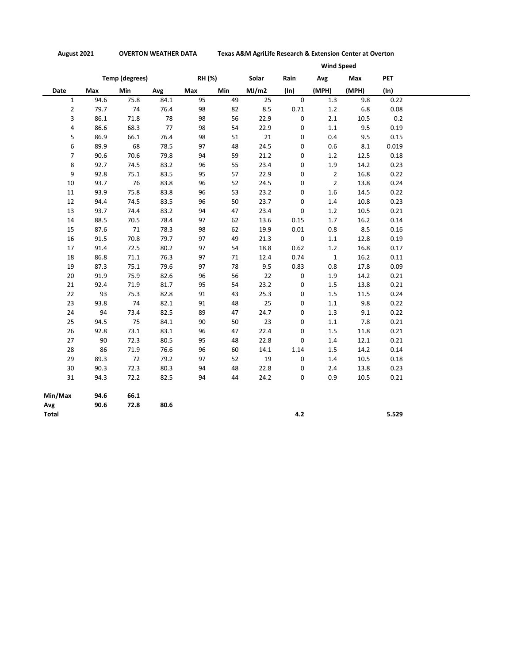**August 2021 OVERTON WEATHER DATA Texas A&M AgriLife Research & Extension Center at Overton**

|                |      |                       |      |               | <b>Wind Speed</b> |       |             |                |       |            |  |
|----------------|------|-----------------------|------|---------------|-------------------|-------|-------------|----------------|-------|------------|--|
|                |      | <b>Temp (degrees)</b> |      | <b>RH (%)</b> |                   | Solar | Rain        | Avg            | Max   | <b>PET</b> |  |
| Date           | Max  | Min                   | Avg  | Max           | <b>Min</b>        | MJ/m2 | $(\ln)$     | (MPH)          | (MPH) | (ln)       |  |
| $\mathbf{1}$   | 94.6 | 75.8                  | 84.1 | 95            | 49                | 25    | $\mathsf 0$ | 1.3            | 9.8   | 0.22       |  |
| $\overline{2}$ | 79.7 | 74                    | 76.4 | 98            | 82                | 8.5   | 0.71        | 1.2            | 6.8   | 0.08       |  |
| 3              | 86.1 | 71.8                  | 78   | 98            | 56                | 22.9  | 0           | 2.1            | 10.5  | 0.2        |  |
| 4              | 86.6 | 68.3                  | 77   | 98            | 54                | 22.9  | 0           | 1.1            | 9.5   | 0.19       |  |
| 5              | 86.9 | 66.1                  | 76.4 | 98            | 51                | 21    | 0           | 0.4            | 9.5   | 0.15       |  |
| 6              | 89.9 | 68                    | 78.5 | 97            | 48                | 24.5  | 0           | 0.6            | 8.1   | 0.019      |  |
| $\overline{7}$ | 90.6 | 70.6                  | 79.8 | 94            | 59                | 21.2  | 0           | 1.2            | 12.5  | 0.18       |  |
| 8              | 92.7 | 74.5                  | 83.2 | 96            | 55                | 23.4  | 0           | 1.9            | 14.2  | 0.23       |  |
| 9              | 92.8 | 75.1                  | 83.5 | 95            | 57                | 22.9  | 0           | $\overline{2}$ | 16.8  | 0.22       |  |
| 10             | 93.7 | 76                    | 83.8 | 96            | 52                | 24.5  | 0           | $\overline{2}$ | 13.8  | 0.24       |  |
| 11             | 93.9 | 75.8                  | 83.8 | 96            | 53                | 23.2  | 0           | 1.6            | 14.5  | 0.22       |  |
| 12             | 94.4 | 74.5                  | 83.5 | 96            | 50                | 23.7  | 0           | 1.4            | 10.8  | 0.23       |  |
| 13             | 93.7 | 74.4                  | 83.2 | 94            | 47                | 23.4  | 0           | 1.2            | 10.5  | 0.21       |  |
| 14             | 88.5 | 70.5                  | 78.4 | 97            | 62                | 13.6  | 0.15        | 1.7            | 16.2  | 0.14       |  |
| 15             | 87.6 | 71                    | 78.3 | 98            | 62                | 19.9  | 0.01        | 0.8            | 8.5   | 0.16       |  |
| 16             | 91.5 | 70.8                  | 79.7 | 97            | 49                | 21.3  | $\mathsf 0$ | 1.1            | 12.8  | 0.19       |  |
| 17             | 91.4 | 72.5                  | 80.2 | 97            | 54                | 18.8  | 0.62        | $1.2\,$        | 16.8  | 0.17       |  |
| 18             | 86.8 | 71.1                  | 76.3 | 97            | 71                | 12.4  | 0.74        | $\mathbf{1}$   | 16.2  | 0.11       |  |
| 19             | 87.3 | 75.1                  | 79.6 | 97            | 78                | 9.5   | 0.83        | 0.8            | 17.8  | 0.09       |  |
| 20             | 91.9 | 75.9                  | 82.6 | 96            | 56                | 22    | 0           | 1.9            | 14.2  | 0.21       |  |
| 21             | 92.4 | 71.9                  | 81.7 | 95            | 54                | 23.2  | 0           | $1.5\,$        | 13.8  | 0.21       |  |
| 22             | 93   | 75.3                  | 82.8 | 91            | 43                | 25.3  | 0           | 1.5            | 11.5  | 0.24       |  |
| 23             | 93.8 | 74                    | 82.1 | 91            | 48                | 25    | 0           | $1.1\,$        | 9.8   | 0.22       |  |
| 24             | 94   | 73.4                  | 82.5 | 89            | 47                | 24.7  | 0           | 1.3            | 9.1   | 0.22       |  |
| 25             | 94.5 | 75                    | 84.1 | 90            | 50                | 23    | 0           | $1.1\,$        | 7.8   | 0.21       |  |
| 26             | 92.8 | 73.1                  | 83.1 | 96            | 47                | 22.4  | 0           | 1.5            | 11.8  | 0.21       |  |
| 27             | 90   | 72.3                  | 80.5 | 95            | 48                | 22.8  | 0           | 1.4            | 12.1  | 0.21       |  |
| 28             | 86   | 71.9                  | 76.6 | 96            | 60                | 14.1  | 1.14        | 1.5            | 14.2  | 0.14       |  |
| 29             | 89.3 | 72                    | 79.2 | 97            | 52                | 19    | 0           | 1.4            | 10.5  | 0.18       |  |
| 30             | 90.3 | 72.3                  | 80.3 | 94            | 48                | 22.8  | 0           | 2.4            | 13.8  | 0.23       |  |
| 31             | 94.3 | 72.2                  | 82.5 | 94            | 44                | 24.2  | 0           | 0.9            | 10.5  | 0.21       |  |
| Min/Max        | 94.6 | 66.1                  |      |               |                   |       |             |                |       |            |  |
| Avg            | 90.6 | 72.8                  | 80.6 |               |                   |       |             |                |       |            |  |
| Total          |      |                       |      |               |                   |       | 4.2         |                |       | 5.529      |  |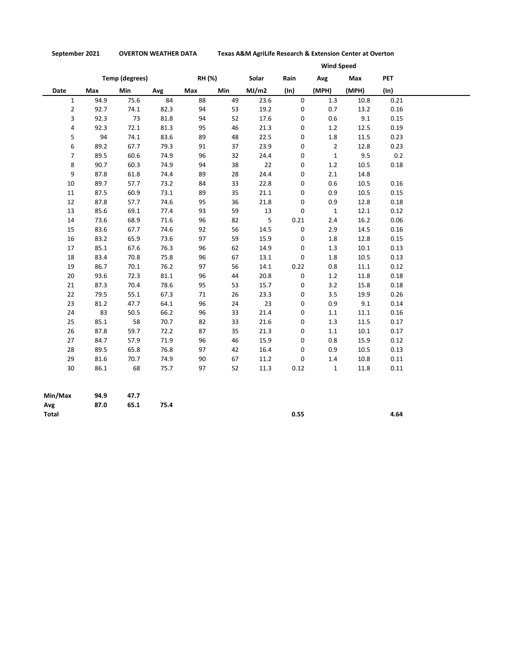**September 2021 OVERTON WEATHER DATA Texas A&M AgriLife Research & Extension Center at Overton**

| <b>Temp (degrees)</b><br>RH (%)<br><b>PET</b><br>Solar<br>Rain<br>Avg<br>Max<br>Min<br><b>Min</b><br>MJ/m2<br>(MPH)<br>(MPH)<br>$(\ln)$<br>Avg<br>Max<br>$(\ln)$<br>Date<br>Max<br>$\Omega$<br>$\mathbf{1}$<br>94.9<br>75.6<br>84<br>88<br>0.21<br>49<br>23.6<br>1.3<br>10.8<br>$\overline{2}$<br>82.3<br>94<br>0.16<br>92.7<br>74.1<br>53<br>19.2<br>0<br>0.7<br>13.2<br>3<br>73<br>94<br>52<br>9.1<br>0.15<br>92.3<br>81.8<br>17.6<br>0<br>0.6<br>72.1<br>4<br>92.3<br>81.3<br>95<br>46<br>21.3<br>1.2<br>12.5<br>0.19<br>0<br>5<br>94<br>83.6<br>89<br>22.5<br>1.8<br>0.23<br>74.1<br>48<br>0<br>11.5<br>6<br>89.2<br>$\overline{2}$<br>0.23<br>67.7<br>79.3<br>91<br>37<br>23.9<br>0<br>12.8<br>$\overline{7}$<br>96<br>9.5<br>89.5<br>60.6<br>74.9<br>32<br>24.4<br>0<br>$\mathbf{1}$<br>22<br>8<br>90.7<br>60.3<br>74.9<br>94<br>38<br>0.18<br>0<br>1.2<br>10.5<br>9<br>87.8<br>61.8<br>74.4<br>89<br>28<br>24.4<br>0<br>2.1<br>14.8<br>89.7<br>10<br>73.2<br>84<br>33<br>22.8<br>0<br>0.6<br>10.5<br>0.16<br>57.7<br>87.5<br>73.1<br>89<br>35<br>0.9<br>0.15<br>60.9<br>21.1<br>0<br>10.5<br>11<br>87.8<br>74.6<br>95<br>36<br>0.18<br>12<br>57.7<br>21.8<br>0<br>0.9<br>12.8<br>13<br>85.6<br>77.4<br>93<br>59<br>13<br>0<br>$\mathbf{1}$<br>0.12<br>69.1<br>12.1 |
|---------------------------------------------------------------------------------------------------------------------------------------------------------------------------------------------------------------------------------------------------------------------------------------------------------------------------------------------------------------------------------------------------------------------------------------------------------------------------------------------------------------------------------------------------------------------------------------------------------------------------------------------------------------------------------------------------------------------------------------------------------------------------------------------------------------------------------------------------------------------------------------------------------------------------------------------------------------------------------------------------------------------------------------------------------------------------------------------------------------------------------------------------------------------------------------------------------------------------------------------------------------------------|
|                                                                                                                                                                                                                                                                                                                                                                                                                                                                                                                                                                                                                                                                                                                                                                                                                                                                                                                                                                                                                                                                                                                                                                                                                                                                           |
|                                                                                                                                                                                                                                                                                                                                                                                                                                                                                                                                                                                                                                                                                                                                                                                                                                                                                                                                                                                                                                                                                                                                                                                                                                                                           |
|                                                                                                                                                                                                                                                                                                                                                                                                                                                                                                                                                                                                                                                                                                                                                                                                                                                                                                                                                                                                                                                                                                                                                                                                                                                                           |
|                                                                                                                                                                                                                                                                                                                                                                                                                                                                                                                                                                                                                                                                                                                                                                                                                                                                                                                                                                                                                                                                                                                                                                                                                                                                           |
|                                                                                                                                                                                                                                                                                                                                                                                                                                                                                                                                                                                                                                                                                                                                                                                                                                                                                                                                                                                                                                                                                                                                                                                                                                                                           |
|                                                                                                                                                                                                                                                                                                                                                                                                                                                                                                                                                                                                                                                                                                                                                                                                                                                                                                                                                                                                                                                                                                                                                                                                                                                                           |
|                                                                                                                                                                                                                                                                                                                                                                                                                                                                                                                                                                                                                                                                                                                                                                                                                                                                                                                                                                                                                                                                                                                                                                                                                                                                           |
|                                                                                                                                                                                                                                                                                                                                                                                                                                                                                                                                                                                                                                                                                                                                                                                                                                                                                                                                                                                                                                                                                                                                                                                                                                                                           |
|                                                                                                                                                                                                                                                                                                                                                                                                                                                                                                                                                                                                                                                                                                                                                                                                                                                                                                                                                                                                                                                                                                                                                                                                                                                                           |
|                                                                                                                                                                                                                                                                                                                                                                                                                                                                                                                                                                                                                                                                                                                                                                                                                                                                                                                                                                                                                                                                                                                                                                                                                                                                           |
|                                                                                                                                                                                                                                                                                                                                                                                                                                                                                                                                                                                                                                                                                                                                                                                                                                                                                                                                                                                                                                                                                                                                                                                                                                                                           |
|                                                                                                                                                                                                                                                                                                                                                                                                                                                                                                                                                                                                                                                                                                                                                                                                                                                                                                                                                                                                                                                                                                                                                                                                                                                                           |
|                                                                                                                                                                                                                                                                                                                                                                                                                                                                                                                                                                                                                                                                                                                                                                                                                                                                                                                                                                                                                                                                                                                                                                                                                                                                           |
|                                                                                                                                                                                                                                                                                                                                                                                                                                                                                                                                                                                                                                                                                                                                                                                                                                                                                                                                                                                                                                                                                                                                                                                                                                                                           |
|                                                                                                                                                                                                                                                                                                                                                                                                                                                                                                                                                                                                                                                                                                                                                                                                                                                                                                                                                                                                                                                                                                                                                                                                                                                                           |
| 5<br>14<br>73.6<br>71.6<br>96<br>0.06<br>68.9<br>82<br>0.21<br>2.4<br>16.2                                                                                                                                                                                                                                                                                                                                                                                                                                                                                                                                                                                                                                                                                                                                                                                                                                                                                                                                                                                                                                                                                                                                                                                                |
| 83.6<br>74.6<br>92<br>0.16<br>15<br>67.7<br>56<br>14.5<br>0<br>2.9<br>14.5                                                                                                                                                                                                                                                                                                                                                                                                                                                                                                                                                                                                                                                                                                                                                                                                                                                                                                                                                                                                                                                                                                                                                                                                |
| 16<br>83.2<br>73.6<br>97<br>59<br>0<br>0.15<br>65.9<br>15.9<br>1.8<br>12.8                                                                                                                                                                                                                                                                                                                                                                                                                                                                                                                                                                                                                                                                                                                                                                                                                                                                                                                                                                                                                                                                                                                                                                                                |
| 76.3<br>96<br>0<br>0.13<br>17<br>85.1<br>67.6<br>62<br>14.9<br>1.3<br>10.1                                                                                                                                                                                                                                                                                                                                                                                                                                                                                                                                                                                                                                                                                                                                                                                                                                                                                                                                                                                                                                                                                                                                                                                                |
| 96<br>0<br>0.13<br>18<br>83.4<br>70.8<br>75.8<br>67<br>13.1<br>1.8<br>10.5                                                                                                                                                                                                                                                                                                                                                                                                                                                                                                                                                                                                                                                                                                                                                                                                                                                                                                                                                                                                                                                                                                                                                                                                |
| 0.12<br>19<br>86.7<br>70.1<br>76.2<br>97<br>56<br>0.22<br>0.8<br>14.1<br>11.1                                                                                                                                                                                                                                                                                                                                                                                                                                                                                                                                                                                                                                                                                                                                                                                                                                                                                                                                                                                                                                                                                                                                                                                             |
| 20<br>93.6<br>81.1<br>96<br>44<br>20.8<br>0<br>11.8<br>0.18<br>72.3<br>1.2                                                                                                                                                                                                                                                                                                                                                                                                                                                                                                                                                                                                                                                                                                                                                                                                                                                                                                                                                                                                                                                                                                                                                                                                |
| 78.6<br>95<br>0<br>0.18<br>21<br>87.3<br>70.4<br>53<br>15.7<br>3.2<br>15.8                                                                                                                                                                                                                                                                                                                                                                                                                                                                                                                                                                                                                                                                                                                                                                                                                                                                                                                                                                                                                                                                                                                                                                                                |
| 22<br>79.5<br>67.3<br>71<br>26<br>23.3<br>0<br>3.5<br>0.26<br>55.1<br>19.9                                                                                                                                                                                                                                                                                                                                                                                                                                                                                                                                                                                                                                                                                                                                                                                                                                                                                                                                                                                                                                                                                                                                                                                                |
| 96<br>23<br>23<br>81.2<br>64.1<br>24<br>0<br>9.1<br>0.14<br>47.7<br>0.9                                                                                                                                                                                                                                                                                                                                                                                                                                                                                                                                                                                                                                                                                                                                                                                                                                                                                                                                                                                                                                                                                                                                                                                                   |
| 96<br>24<br>83<br>66.2<br>0<br>0.16<br>50.5<br>33<br>21.4<br>1.1<br>11.1                                                                                                                                                                                                                                                                                                                                                                                                                                                                                                                                                                                                                                                                                                                                                                                                                                                                                                                                                                                                                                                                                                                                                                                                  |
| 25<br>58<br>82<br>33<br>0.17<br>85.1<br>70.7<br>21.6<br>0<br>1.3<br>11.5                                                                                                                                                                                                                                                                                                                                                                                                                                                                                                                                                                                                                                                                                                                                                                                                                                                                                                                                                                                                                                                                                                                                                                                                  |
| 35<br>26<br>87.8<br>59.7<br>72.2<br>87<br>21.3<br>0<br>1.1<br>10.1<br>0.17                                                                                                                                                                                                                                                                                                                                                                                                                                                                                                                                                                                                                                                                                                                                                                                                                                                                                                                                                                                                                                                                                                                                                                                                |
| 71.9<br>96<br>46<br>15.9<br>0<br>0.12<br>27<br>84.7<br>57.9<br>0.8<br>15.9                                                                                                                                                                                                                                                                                                                                                                                                                                                                                                                                                                                                                                                                                                                                                                                                                                                                                                                                                                                                                                                                                                                                                                                                |
| 0.13<br>28<br>89.5<br>65.8<br>76.8<br>97<br>42<br>16.4<br>0<br>0.9<br>10.5                                                                                                                                                                                                                                                                                                                                                                                                                                                                                                                                                                                                                                                                                                                                                                                                                                                                                                                                                                                                                                                                                                                                                                                                |
| 29<br>81.6<br>70.7<br>74.9<br>90<br>67<br>11.2<br>0<br>10.8<br>0.11<br>1.4                                                                                                                                                                                                                                                                                                                                                                                                                                                                                                                                                                                                                                                                                                                                                                                                                                                                                                                                                                                                                                                                                                                                                                                                |
| 30<br>86.1<br>68<br>75.7<br>52<br>11.3<br>0.11<br>97<br>0.12<br>$\mathbf{1}$<br>11.8                                                                                                                                                                                                                                                                                                                                                                                                                                                                                                                                                                                                                                                                                                                                                                                                                                                                                                                                                                                                                                                                                                                                                                                      |
| Min/Max<br>94.9<br>47.7                                                                                                                                                                                                                                                                                                                                                                                                                                                                                                                                                                                                                                                                                                                                                                                                                                                                                                                                                                                                                                                                                                                                                                                                                                                   |

| Min/Max      | 94.9 | 47.7 |      |      |      |
|--------------|------|------|------|------|------|
| Avg          | 87.0 | 65.1 | 75.4 |      |      |
| <b>Total</b> |      |      |      | 0.55 | 4.64 |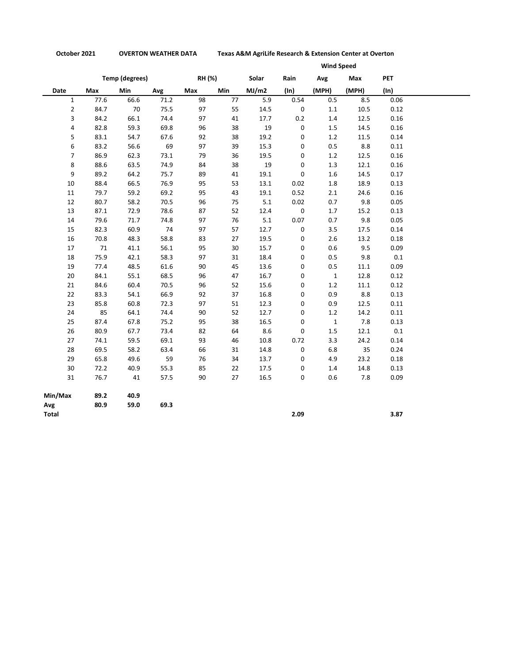**October 2021 OVERTON WEATHER DATA Texas A&M AgriLife Research & Extension Center at Overton**

|                       |      |            |               |     |            | <b>Wind Speed</b> |                 |              |            |         |
|-----------------------|------|------------|---------------|-----|------------|-------------------|-----------------|--------------|------------|---------|
| <b>Temp (degrees)</b> |      |            | <b>RH (%)</b> |     | Solar      | Rain              | Avg             | Max          | <b>PET</b> |         |
| Date                  | Max  | <b>Min</b> | Avg           | Max | <b>Min</b> | MJ/m2             | $(\mathsf{In})$ | (MPH)        | (MPH)      | (ln)    |
| $\mathbf{1}$          | 77.6 | 66.6       | 71.2          | 98  | 77         | 5.9               | 0.54            | 0.5          | 8.5        | 0.06    |
| $\overline{2}$        | 84.7 | 70         | 75.5          | 97  | 55         | 14.5              | 0               | 1.1          | 10.5       | 0.12    |
| 3                     | 84.2 | 66.1       | 74.4          | 97  | 41         | 17.7              | 0.2             | 1.4          | 12.5       | 0.16    |
| 4                     | 82.8 | 59.3       | 69.8          | 96  | 38         | 19                | 0               | $1.5\,$      | 14.5       | 0.16    |
| 5                     | 83.1 | 54.7       | 67.6          | 92  | 38         | 19.2              | 0               | 1.2          | 11.5       | 0.14    |
| 6                     | 83.2 | 56.6       | 69            | 97  | 39         | 15.3              | 0               | 0.5          | 8.8        | 0.11    |
| $\overline{7}$        | 86.9 | 62.3       | 73.1          | 79  | 36         | 19.5              | 0               | 1.2          | 12.5       | 0.16    |
| 8                     | 88.6 | 63.5       | 74.9          | 84  | 38         | 19                | 0               | 1.3          | 12.1       | 0.16    |
| 9                     | 89.2 | 64.2       | 75.7          | 89  | 41         | 19.1              | 0               | 1.6          | 14.5       | 0.17    |
| 10                    | 88.4 | 66.5       | 76.9          | 95  | 53         | 13.1              | 0.02            | 1.8          | 18.9       | 0.13    |
| 11                    | 79.7 | 59.2       | 69.2          | 95  | 43         | 19.1              | 0.52            | 2.1          | 24.6       | 0.16    |
| 12                    | 80.7 | 58.2       | 70.5          | 96  | 75         | 5.1               | 0.02            | 0.7          | 9.8        | 0.05    |
| 13                    | 87.1 | 72.9       | 78.6          | 87  | 52         | 12.4              | 0               | 1.7          | 15.2       | 0.13    |
| 14                    | 79.6 | 71.7       | 74.8          | 97  | 76         | $5.1\,$           | 0.07            | 0.7          | 9.8        | 0.05    |
| 15                    | 82.3 | 60.9       | 74            | 97  | 57         | 12.7              | 0               | 3.5          | 17.5       | 0.14    |
| 16                    | 70.8 | 48.3       | 58.8          | 83  | 27         | 19.5              | 0               | 2.6          | 13.2       | 0.18    |
| 17                    | 71   | 41.1       | 56.1          | 95  | 30         | 15.7              | 0               | 0.6          | 9.5        | 0.09    |
| 18                    | 75.9 | 42.1       | 58.3          | 97  | 31         | 18.4              | 0               | 0.5          | 9.8        | 0.1     |
| 19                    | 77.4 | 48.5       | 61.6          | 90  | 45         | 13.6              | 0               | 0.5          | 11.1       | 0.09    |
| 20                    | 84.1 | 55.1       | 68.5          | 96  | 47         | 16.7              | 0               | $\mathbf 1$  | 12.8       | 0.12    |
| 21                    | 84.6 | 60.4       | 70.5          | 96  | 52         | 15.6              | 0               | 1.2          | $11.1\,$   | 0.12    |
| 22                    | 83.3 | 54.1       | 66.9          | 92  | 37         | 16.8              | 0               | 0.9          | 8.8        | 0.13    |
| 23                    | 85.8 | 60.8       | 72.3          | 97  | 51         | 12.3              | 0               | 0.9          | 12.5       | 0.11    |
| 24                    | 85   | 64.1       | 74.4          | 90  | 52         | 12.7              | 0               | 1.2          | 14.2       | 0.11    |
| 25                    | 87.4 | 67.8       | 75.2          | 95  | 38         | 16.5              | 0               | $\mathbf{1}$ | 7.8        | 0.13    |
| 26                    | 80.9 | 67.7       | 73.4          | 82  | 64         | 8.6               | 0               | 1.5          | 12.1       | $0.1\,$ |
| 27                    | 74.1 | 59.5       | 69.1          | 93  | 46         | 10.8              | 0.72            | 3.3          | 24.2       | 0.14    |
| 28                    | 69.5 | 58.2       | 63.4          | 66  | 31         | 14.8              | 0               | 6.8          | 35         | 0.24    |
| 29                    | 65.8 | 49.6       | 59            | 76  | 34         | 13.7              | 0               | 4.9          | 23.2       | 0.18    |
| 30                    | 72.2 | 40.9       | 55.3          | 85  | 22         | 17.5              | 0               | 1.4          | 14.8       | 0.13    |
| 31                    | 76.7 | 41         | 57.5          | 90  | 27         | 16.5              | 0               | 0.6          | 7.8        | 0.09    |
| Min/Max               | 89.2 | 40.9       |               |     |            |                   |                 |              |            |         |
| Avg                   | 80.9 | 59.0       | 69.3          |     |            |                   |                 |              |            |         |
| Total                 |      |            |               |     |            |                   | 2.09            |              |            | 3.87    |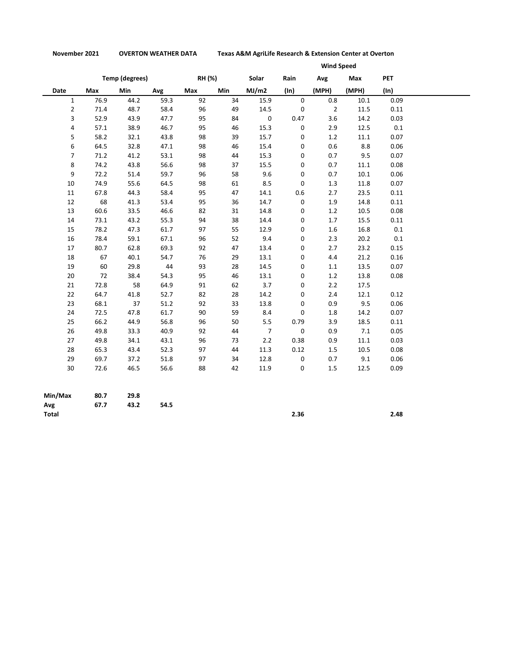**November 2021 OVERTON WEATHER DATA Texas A&M AgriLife Research & Extension Center at Overton**

|                |                       |            |      |        |            | <b>Wind Speed</b> |             |                |          |            |
|----------------|-----------------------|------------|------|--------|------------|-------------------|-------------|----------------|----------|------------|
|                | <b>Temp (degrees)</b> |            |      | RH (%) |            | Solar             | Rain        | Avg            | Max      | <b>PET</b> |
| Date           | Max                   | <b>Min</b> | Avg  | Max    | <b>Min</b> | MJ/m2             | (ln)        | (MPH)          | (MPH)    | (ln)       |
| $\mathbf{1}$   | 76.9                  | 44.2       | 59.3 | 92     | 34         | 15.9              | $\mathbf 0$ | 0.8            | 10.1     | 0.09       |
| $\overline{2}$ | 71.4                  | 48.7       | 58.4 | 96     | 49         | 14.5              | $\pmb{0}$   | $\overline{2}$ | 11.5     | 0.11       |
| 3              | 52.9                  | 43.9       | 47.7 | 95     | 84         | $\mathbf 0$       | 0.47        | 3.6            | 14.2     | 0.03       |
| 4              | 57.1                  | 38.9       | 46.7 | 95     | 46         | 15.3              | 0           | 2.9            | 12.5     | 0.1        |
| 5              | 58.2                  | 32.1       | 43.8 | 98     | 39         | 15.7              | 0           | 1.2            | $11.1\,$ | 0.07       |
| 6              | 64.5                  | 32.8       | 47.1 | 98     | 46         | 15.4              | 0           | 0.6            | 8.8      | 0.06       |
| $\overline{7}$ | 71.2                  | 41.2       | 53.1 | 98     | 44         | 15.3              | 0           | 0.7            | 9.5      | 0.07       |
| 8              | 74.2                  | 43.8       | 56.6 | 98     | 37         | 15.5              | 0           | 0.7            | 11.1     | 0.08       |
| 9              | 72.2                  | 51.4       | 59.7 | 96     | 58         | 9.6               | 0           | 0.7            | 10.1     | 0.06       |
| 10             | 74.9                  | 55.6       | 64.5 | 98     | 61         | 8.5               | 0           | 1.3            | 11.8     | 0.07       |
| 11             | 67.8                  | 44.3       | 58.4 | 95     | 47         | 14.1              | 0.6         | 2.7            | 23.5     | 0.11       |
| 12             | 68                    | 41.3       | 53.4 | 95     | 36         | 14.7              | 0           | 1.9            | 14.8     | 0.11       |
| 13             | 60.6                  | 33.5       | 46.6 | 82     | 31         | 14.8              | 0           | 1.2            | 10.5     | 0.08       |
| 14             | 73.1                  | 43.2       | 55.3 | 94     | 38         | 14.4              | 0           | 1.7            | 15.5     | 0.11       |
| 15             | 78.2                  | 47.3       | 61.7 | 97     | 55         | 12.9              | 0           | 1.6            | 16.8     | 0.1        |
| 16             | 78.4                  | 59.1       | 67.1 | 96     | 52         | 9.4               | 0           | 2.3            | 20.2     | 0.1        |
| 17             | 80.7                  | 62.8       | 69.3 | 92     | 47         | 13.4              | 0           | 2.7            | 23.2     | 0.15       |
| 18             | 67                    | 40.1       | 54.7 | 76     | 29         | 13.1              | 0           | 4.4            | 21.2     | 0.16       |
| 19             | 60                    | 29.8       | 44   | 93     | 28         | 14.5              | 0           | $1.1$          | 13.5     | 0.07       |
| 20             | 72                    | 38.4       | 54.3 | 95     | 46         | 13.1              | 0           | 1.2            | 13.8     | 0.08       |
| 21             | 72.8                  | 58         | 64.9 | 91     | 62         | 3.7               | 0           | 2.2            | 17.5     |            |
| 22             | 64.7                  | 41.8       | 52.7 | 82     | 28         | 14.2              | 0           | 2.4            | 12.1     | 0.12       |
| 23             | 68.1                  | 37         | 51.2 | 92     | 33         | 13.8              | 0           | 0.9            | 9.5      | 0.06       |
| 24             | 72.5                  | 47.8       | 61.7 | 90     | 59         | 8.4               | 0           | 1.8            | 14.2     | 0.07       |
| 25             | 66.2                  | 44.9       | 56.8 | 96     | 50         | 5.5               | 0.79        | 3.9            | 18.5     | 0.11       |
| 26             | 49.8                  | 33.3       | 40.9 | 92     | 44         | $\overline{7}$    | 0           | 0.9            | $7.1$    | 0.05       |
| 27             | 49.8                  | 34.1       | 43.1 | 96     | 73         | 2.2               | 0.38        | 0.9            | 11.1     | 0.03       |
| 28             | 65.3                  | 43.4       | 52.3 | 97     | 44         | 11.3              | 0.12        | 1.5            | 10.5     | 0.08       |
| 29             | 69.7                  | 37.2       | 51.8 | 97     | 34         | 12.8              | $\mathbf 0$ | 0.7            | 9.1      | 0.06       |
| 30             | 72.6                  | 46.5       | 56.6 | 88     | 42         | 11.9              | $\mathsf 0$ | 1.5            | 12.5     | 0.09       |
| Min/Max        | 80.7                  | 29.R       |      |        |            |                   |             |                |          |            |

| Min/Max      | 80.7 | 29.8 |      |      |      |
|--------------|------|------|------|------|------|
| Avg          | 67.7 | 43.2 | 54.5 |      |      |
| <b>Total</b> |      |      |      | 2.36 | 2.48 |